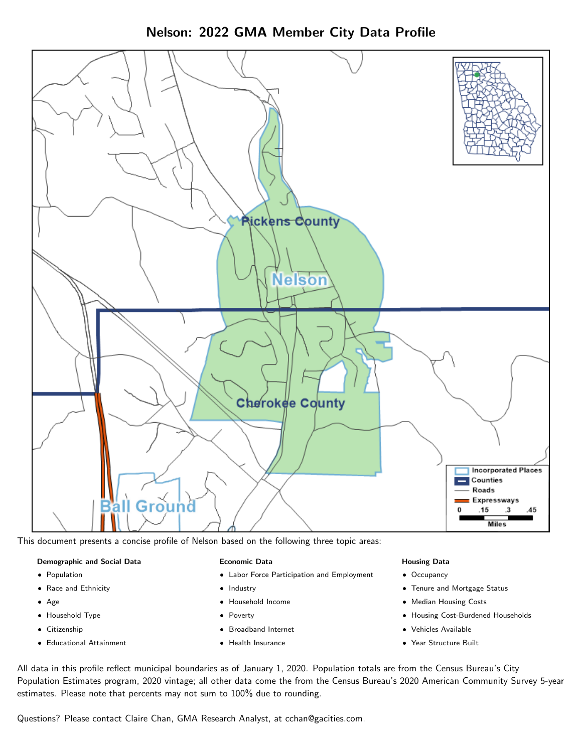Nelson: 2022 GMA Member City Data Profile



This document presents a concise profile of Nelson based on the following three topic areas:

#### Demographic and Social Data

- **•** Population
- Race and Ethnicity
- Age
- Household Type
- **Citizenship**
- Educational Attainment

#### Economic Data

- Labor Force Participation and Employment
- Industry
- Household Income
- Poverty
- Broadband Internet
- Health Insurance

#### Housing Data

- Occupancy
- Tenure and Mortgage Status
- Median Housing Costs
- Housing Cost-Burdened Households
- Vehicles Available
- Year Structure Built

All data in this profile reflect municipal boundaries as of January 1, 2020. Population totals are from the Census Bureau's City Population Estimates program, 2020 vintage; all other data come the from the Census Bureau's 2020 American Community Survey 5-year estimates. Please note that percents may not sum to 100% due to rounding.

Questions? Please contact Claire Chan, GMA Research Analyst, at [cchan@gacities.com.](mailto:cchan@gacities.com)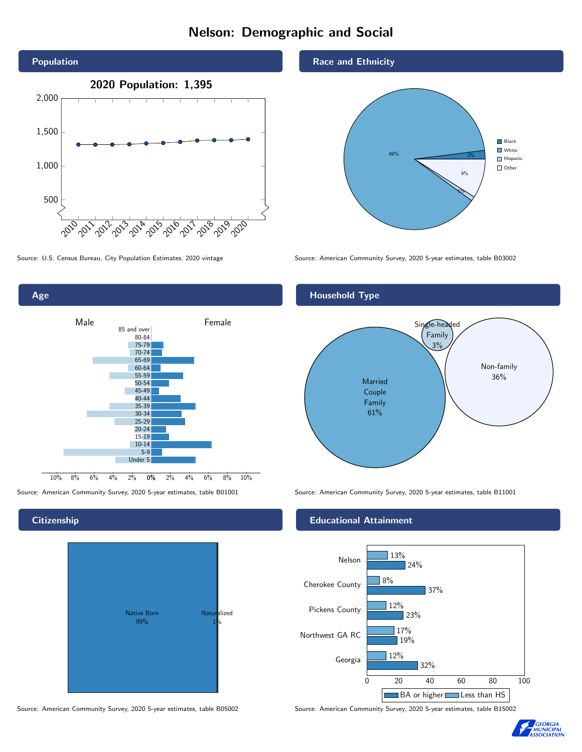# Nelson: Demographic and Social





# Native Born 99% Naturalized 1%

Race and Ethnicity



Source: U.S. Census Bureau, City Population Estimates, 2020 vintage Source: American Community Survey, 2020 5-year estimates, table B03002

#### Household Type



Source: American Community Survey, 2020 5-year estimates, table B01001 Source: American Community Survey, 2020 5-year estimates, table B11001

#### Educational Attainment



Source: American Community Survey, 2020 5-year estimates, table B05002 Source: American Community Survey, 2020 5-year estimates, table B15002



#### **Citizenship**

Age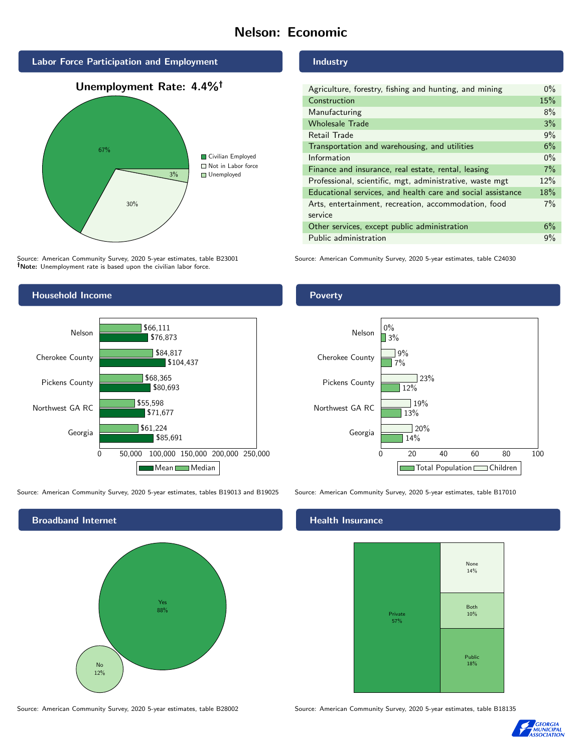## Nelson: Economic



# 30% 3% ■ Not in Labor force Unemployed

Source: American Community Survey, 2020 5-year estimates, table B23001 Note: Unemployment rate is based upon the civilian labor force.

#### Household Income



Source: American Community Survey, 2020 5-year estimates, tables B19013 and B19025 Source: American Community Survey, 2020 5-year estimates, table B17010



Source: American Community Survey, 2020 5-year estimates, table B28002 Source: American Community Survey, 2020 5-year estimates, table B18135

#### Industry

| Agriculture, forestry, fishing and hunting, and mining      | $0\%$ |
|-------------------------------------------------------------|-------|
| Construction                                                | 15%   |
| Manufacturing                                               | 8%    |
| <b>Wholesale Trade</b>                                      | 3%    |
| Retail Trade                                                | 9%    |
| Transportation and warehousing, and utilities               | 6%    |
| Information                                                 | $0\%$ |
| Finance and insurance, real estate, rental, leasing         | 7%    |
| Professional, scientific, mgt, administrative, waste mgt    | 12%   |
| Educational services, and health care and social assistance | 18%   |
| Arts, entertainment, recreation, accommodation, food        | $7\%$ |
| service                                                     |       |
| Other services, except public administration                | 6%    |
| Public administration                                       | 9%    |

Source: American Community Survey, 2020 5-year estimates, table C24030

#### Poverty



#### Health Insurance